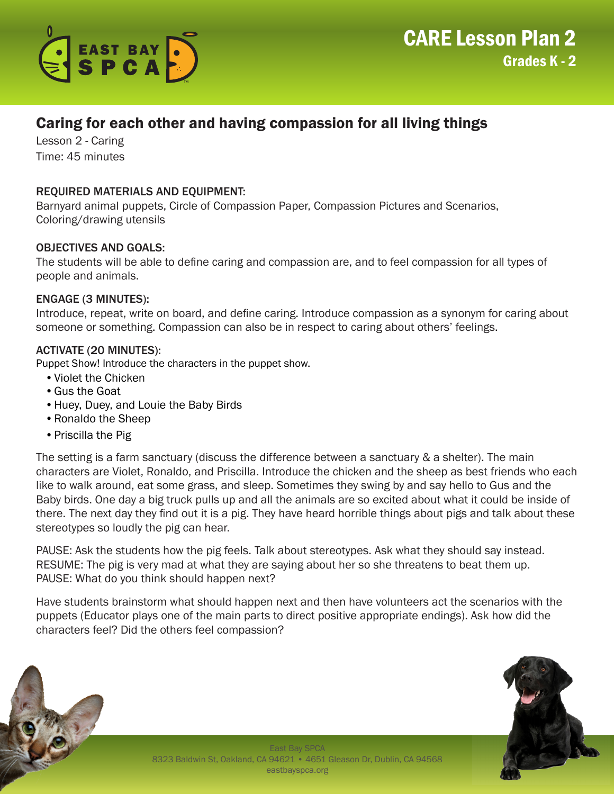

# Caring for each other and having compassion for all living things

Lesson 2 - Caring Time: 45 minutes

# REQUIRED MATERIALS AND EQUIPMENT:

Barnyard animal puppets, Circle of Compassion Paper, Compassion Pictures and Scenarios, Coloring/drawing utensils

## OBJECTIVES AND GOALS:

The students will be able to define caring and compassion are, and to feel compassion for all types of people and animals.

#### ENGAGE (3 MINUTES):

Introduce, repeat, write on board, and define caring. Introduce compassion as a synonym for caring about someone or something. Compassion can also be in respect to caring about others' feelings.

#### ACTIVATE (20 MINUTES):

Puppet Show! Introduce the characters in the puppet show.

- •Violet the Chicken
- •Gus the Goat
- •Huey, Duey, and Louie the Baby Birds
- •Ronaldo the Sheep
- •Priscilla the Pig

The setting is a farm sanctuary (discuss the difference between a sanctuary & a shelter). The main characters are Violet, Ronaldo, and Priscilla. Introduce the chicken and the sheep as best friends who each like to walk around, eat some grass, and sleep. Sometimes they swing by and say hello to Gus and the Baby birds. One day a big truck pulls up and all the animals are so excited about what it could be inside of there. The next day they find out it is a pig. They have heard horrible things about pigs and talk about these stereotypes so loudly the pig can hear.

PAUSE: Ask the students how the pig feels. Talk about stereotypes. Ask what they should say instead. RESUME: The pig is very mad at what they are saying about her so she threatens to beat them up. PAUSE: What do you think should happen next?

Have students brainstorm what should happen next and then have volunteers act the scenarios with the puppets (Educator plays one of the main parts to direct positive appropriate endings). Ask how did the characters feel? Did the others feel compassion?



East Bay SPCA 8323 Baldwin St, Oakland, CA 94621 • 4651 Gleason Dr, Dublin, CA 94568 eastbayspca.org